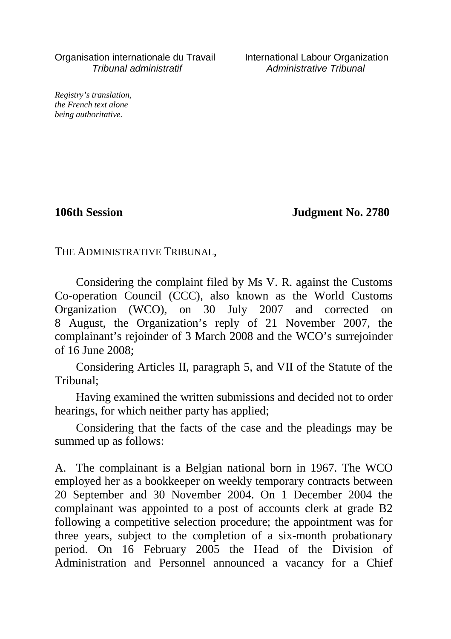Organisation internationale du Travail International Labour Organization Tribunal administratif Administrative Tribunal

*Registry's translation, the French text alone being authoritative.*

**106th Session Judgment No. 2780**

THE ADMINISTRATIVE TRIBUNAL,

Considering the complaint filed by Ms V. R. against the Customs Co-operation Council (CCC), also known as the World Customs Organization (WCO), on 30 July 2007 and corrected on 8 August, the Organization's reply of 21 November 2007, the complainant's rejoinder of 3 March 2008 and the WCO's surrejoinder of 16 June 2008;

Considering Articles II, paragraph 5, and VII of the Statute of the Tribunal;

Having examined the written submissions and decided not to order hearings, for which neither party has applied;

Considering that the facts of the case and the pleadings may be summed up as follows:

A. The complainant is a Belgian national born in 1967. The WCO employed her as a bookkeeper on weekly temporary contracts between 20 September and 30 November 2004. On 1 December 2004 the complainant was appointed to a post of accounts clerk at grade B2 following a competitive selection procedure; the appointment was for three years, subject to the completion of a six-month probationary period. On 16 February 2005 the Head of the Division of Administration and Personnel announced a vacancy for a Chief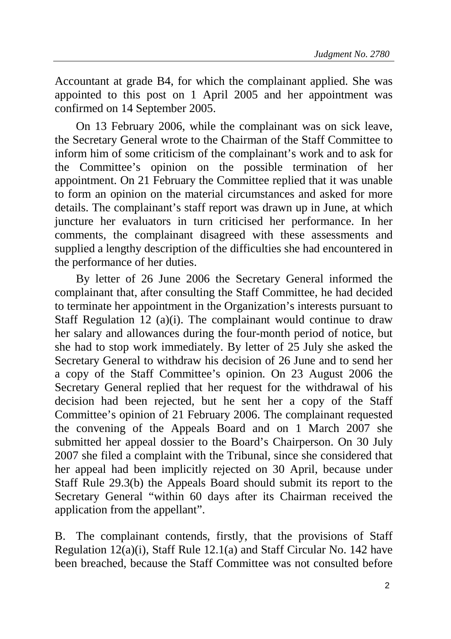Accountant at grade B4, for which the complainant applied. She was appointed to this post on 1 April 2005 and her appointment was confirmed on 14 September 2005.

On 13 February 2006, while the complainant was on sick leave, the Secretary General wrote to the Chairman of the Staff Committee to inform him of some criticism of the complainant's work and to ask for the Committee's opinion on the possible termination of her appointment. On 21 February the Committee replied that it was unable to form an opinion on the material circumstances and asked for more details. The complainant's staff report was drawn up in June, at which juncture her evaluators in turn criticised her performance. In her comments, the complainant disagreed with these assessments and supplied a lengthy description of the difficulties she had encountered in the performance of her duties.

By letter of 26 June 2006 the Secretary General informed the complainant that, after consulting the Staff Committee, he had decided to terminate her appointment in the Organization's interests pursuant to Staff Regulation 12 (a)(i). The complainant would continue to draw her salary and allowances during the four-month period of notice, but she had to stop work immediately. By letter of 25 July she asked the Secretary General to withdraw his decision of 26 June and to send her a copy of the Staff Committee's opinion. On 23 August 2006 the Secretary General replied that her request for the withdrawal of his decision had been rejected, but he sent her a copy of the Staff Committee's opinion of 21 February 2006. The complainant requested the convening of the Appeals Board and on 1 March 2007 she submitted her appeal dossier to the Board's Chairperson. On 30 July 2007 she filed a complaint with the Tribunal, since she considered that her appeal had been implicitly rejected on 30 April, because under Staff Rule 29.3(b) the Appeals Board should submit its report to the Secretary General "within 60 days after its Chairman received the application from the appellant".

B. The complainant contends, firstly, that the provisions of Staff Regulation 12(a)(i), Staff Rule 12.1(a) and Staff Circular No. 142 have been breached, because the Staff Committee was not consulted before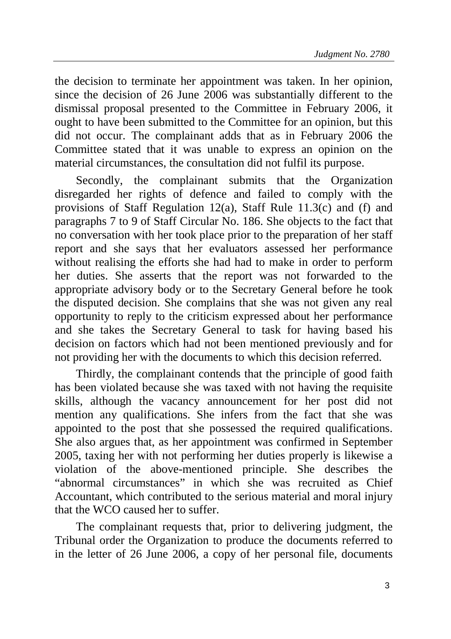the decision to terminate her appointment was taken. In her opinion, since the decision of 26 June 2006 was substantially different to the dismissal proposal presented to the Committee in February 2006, it ought to have been submitted to the Committee for an opinion, but this did not occur. The complainant adds that as in February 2006 the Committee stated that it was unable to express an opinion on the material circumstances, the consultation did not fulfil its purpose.

Secondly, the complainant submits that the Organization disregarded her rights of defence and failed to comply with the provisions of Staff Regulation 12(a), Staff Rule 11.3(c) and (f) and paragraphs 7 to 9 of Staff Circular No. 186. She objects to the fact that no conversation with her took place prior to the preparation of her staff report and she says that her evaluators assessed her performance without realising the efforts she had had to make in order to perform her duties. She asserts that the report was not forwarded to the appropriate advisory body or to the Secretary General before he took the disputed decision. She complains that she was not given any real opportunity to reply to the criticism expressed about her performance and she takes the Secretary General to task for having based his decision on factors which had not been mentioned previously and for not providing her with the documents to which this decision referred.

Thirdly, the complainant contends that the principle of good faith has been violated because she was taxed with not having the requisite skills, although the vacancy announcement for her post did not mention any qualifications. She infers from the fact that she was appointed to the post that she possessed the required qualifications. She also argues that, as her appointment was confirmed in September 2005, taxing her with not performing her duties properly is likewise a violation of the above-mentioned principle. She describes the "abnormal circumstances" in which she was recruited as Chief Accountant, which contributed to the serious material and moral injury that the WCO caused her to suffer.

The complainant requests that, prior to delivering judgment, the Tribunal order the Organization to produce the documents referred to in the letter of 26 June 2006, a copy of her personal file, documents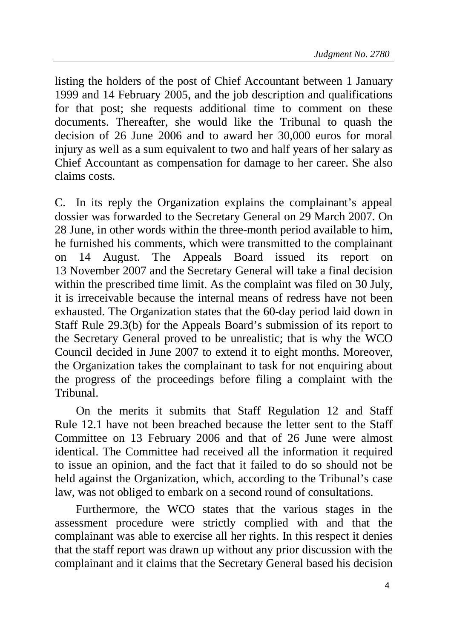listing the holders of the post of Chief Accountant between 1 January 1999 and 14 February 2005, and the job description and qualifications for that post; she requests additional time to comment on these documents. Thereafter, she would like the Tribunal to quash the decision of 26 June 2006 and to award her 30,000 euros for moral injury as well as a sum equivalent to two and half years of her salary as Chief Accountant as compensation for damage to her career. She also claims costs.

C. In its reply the Organization explains the complainant's appeal dossier was forwarded to the Secretary General on 29 March 2007. On 28 June, in other words within the three-month period available to him, he furnished his comments, which were transmitted to the complainant on 14 August. The Appeals Board issued its report on 13 November 2007 and the Secretary General will take a final decision within the prescribed time limit. As the complaint was filed on 30 July, it is irreceivable because the internal means of redress have not been exhausted. The Organization states that the 60-day period laid down in Staff Rule 29.3(b) for the Appeals Board's submission of its report to the Secretary General proved to be unrealistic; that is why the WCO Council decided in June 2007 to extend it to eight months. Moreover, the Organization takes the complainant to task for not enquiring about the progress of the proceedings before filing a complaint with the Tribunal.

On the merits it submits that Staff Regulation 12 and Staff Rule 12.1 have not been breached because the letter sent to the Staff Committee on 13 February 2006 and that of 26 June were almost identical. The Committee had received all the information it required to issue an opinion, and the fact that it failed to do so should not be held against the Organization, which, according to the Tribunal's case law, was not obliged to embark on a second round of consultations.

Furthermore, the WCO states that the various stages in the assessment procedure were strictly complied with and that the complainant was able to exercise all her rights. In this respect it denies that the staff report was drawn up without any prior discussion with the complainant and it claims that the Secretary General based his decision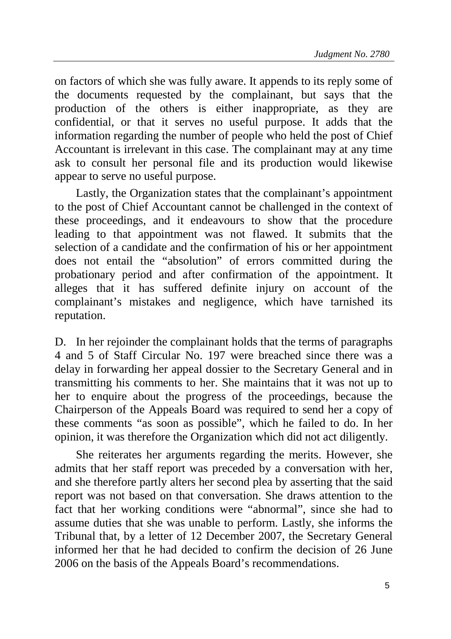on factors of which she was fully aware. It appends to its reply some of the documents requested by the complainant, but says that the production of the others is either inappropriate, as they are confidential, or that it serves no useful purpose. It adds that the information regarding the number of people who held the post of Chief Accountant is irrelevant in this case. The complainant may at any time ask to consult her personal file and its production would likewise appear to serve no useful purpose.

Lastly, the Organization states that the complainant's appointment to the post of Chief Accountant cannot be challenged in the context of these proceedings, and it endeavours to show that the procedure leading to that appointment was not flawed. It submits that the selection of a candidate and the confirmation of his or her appointment does not entail the "absolution" of errors committed during the probationary period and after confirmation of the appointment. It alleges that it has suffered definite injury on account of the complainant's mistakes and negligence, which have tarnished its reputation.

D. In her rejoinder the complainant holds that the terms of paragraphs 4 and 5 of Staff Circular No. 197 were breached since there was a delay in forwarding her appeal dossier to the Secretary General and in transmitting his comments to her. She maintains that it was not up to her to enquire about the progress of the proceedings, because the Chairperson of the Appeals Board was required to send her a copy of these comments "as soon as possible", which he failed to do. In her opinion, it was therefore the Organization which did not act diligently.

She reiterates her arguments regarding the merits. However, she admits that her staff report was preceded by a conversation with her, and she therefore partly alters her second plea by asserting that the said report was not based on that conversation. She draws attention to the fact that her working conditions were "abnormal", since she had to assume duties that she was unable to perform. Lastly, she informs the Tribunal that, by a letter of 12 December 2007, the Secretary General informed her that he had decided to confirm the decision of 26 June 2006 on the basis of the Appeals Board's recommendations.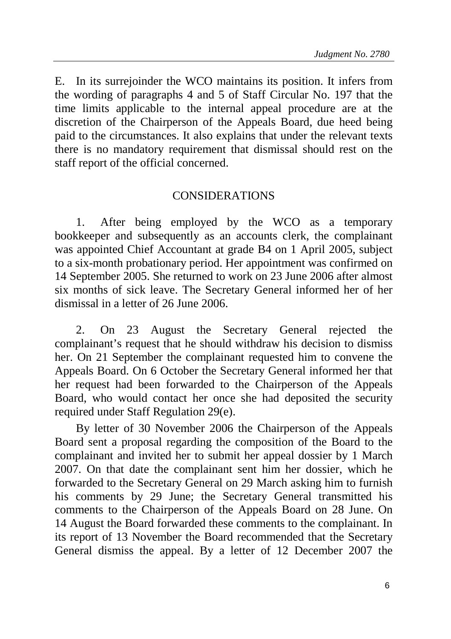E. In its surrejoinder the WCO maintains its position. It infers from the wording of paragraphs 4 and 5 of Staff Circular No. 197 that the time limits applicable to the internal appeal procedure are at the discretion of the Chairperson of the Appeals Board, due heed being paid to the circumstances. It also explains that under the relevant texts there is no mandatory requirement that dismissal should rest on the staff report of the official concerned.

## CONSIDERATIONS

1. After being employed by the WCO as a temporary bookkeeper and subsequently as an accounts clerk, the complainant was appointed Chief Accountant at grade B4 on 1 April 2005, subject to a six-month probationary period. Her appointment was confirmed on 14 September 2005. She returned to work on 23 June 2006 after almost six months of sick leave. The Secretary General informed her of her dismissal in a letter of 26 June 2006.

2. On 23 August the Secretary General rejected the complainant's request that he should withdraw his decision to dismiss her. On 21 September the complainant requested him to convene the Appeals Board. On 6 October the Secretary General informed her that her request had been forwarded to the Chairperson of the Appeals Board, who would contact her once she had deposited the security required under Staff Regulation 29(e).

By letter of 30 November 2006 the Chairperson of the Appeals Board sent a proposal regarding the composition of the Board to the complainant and invited her to submit her appeal dossier by 1 March 2007. On that date the complainant sent him her dossier, which he forwarded to the Secretary General on 29 March asking him to furnish his comments by 29 June; the Secretary General transmitted his comments to the Chairperson of the Appeals Board on 28 June. On 14 August the Board forwarded these comments to the complainant. In its report of 13 November the Board recommended that the Secretary General dismiss the appeal. By a letter of 12 December 2007 the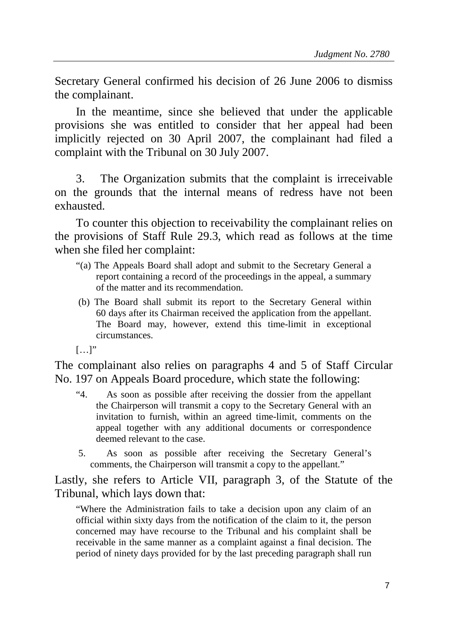Secretary General confirmed his decision of 26 June 2006 to dismiss the complainant.

In the meantime, since she believed that under the applicable provisions she was entitled to consider that her appeal had been implicitly rejected on 30 April 2007, the complainant had filed a complaint with the Tribunal on 30 July 2007.

3. The Organization submits that the complaint is irreceivable on the grounds that the internal means of redress have not been exhausted.

To counter this objection to receivability the complainant relies on the provisions of Staff Rule 29.3, which read as follows at the time when she filed her complaint:

- "(a) The Appeals Board shall adopt and submit to the Secretary General a report containing a record of the proceedings in the appeal, a summary of the matter and its recommendation.
- (b) The Board shall submit its report to the Secretary General within 60 days after its Chairman received the application from the appellant. The Board may, however, extend this time-limit in exceptional circumstances.
- […]"

The complainant also relies on paragraphs 4 and 5 of Staff Circular No. 197 on Appeals Board procedure, which state the following:

- "4. As soon as possible after receiving the dossier from the appellant the Chairperson will transmit a copy to the Secretary General with an invitation to furnish, within an agreed time-limit, comments on the appeal together with any additional documents or correspondence deemed relevant to the case.
- 5. As soon as possible after receiving the Secretary General's comments, the Chairperson will transmit a copy to the appellant."

Lastly, she refers to Article VII, paragraph 3, of the Statute of the Tribunal, which lays down that:

"Where the Administration fails to take a decision upon any claim of an official within sixty days from the notification of the claim to it, the person concerned may have recourse to the Tribunal and his complaint shall be receivable in the same manner as a complaint against a final decision. The period of ninety days provided for by the last preceding paragraph shall run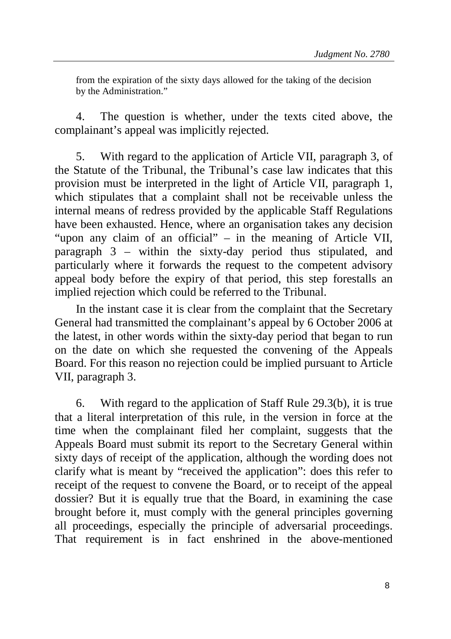from the expiration of the sixty days allowed for the taking of the decision by the Administration."

4. The question is whether, under the texts cited above, the complainant's appeal was implicitly rejected.

5. With regard to the application of Article VII, paragraph 3, of the Statute of the Tribunal, the Tribunal's case law indicates that this provision must be interpreted in the light of Article VII, paragraph 1, which stipulates that a complaint shall not be receivable unless the internal means of redress provided by the applicable Staff Regulations have been exhausted. Hence, where an organisation takes any decision "upon any claim of an official" – in the meaning of Article VII, paragraph 3 – within the sixty-day period thus stipulated, and particularly where it forwards the request to the competent advisory appeal body before the expiry of that period, this step forestalls an implied rejection which could be referred to the Tribunal.

In the instant case it is clear from the complaint that the Secretary General had transmitted the complainant's appeal by 6 October 2006 at the latest, in other words within the sixty-day period that began to run on the date on which she requested the convening of the Appeals Board. For this reason no rejection could be implied pursuant to Article VII, paragraph 3.

6. With regard to the application of Staff Rule 29.3(b), it is true that a literal interpretation of this rule, in the version in force at the time when the complainant filed her complaint, suggests that the Appeals Board must submit its report to the Secretary General within sixty days of receipt of the application, although the wording does not clarify what is meant by "received the application": does this refer to receipt of the request to convene the Board, or to receipt of the appeal dossier? But it is equally true that the Board, in examining the case brought before it, must comply with the general principles governing all proceedings, especially the principle of adversarial proceedings. That requirement is in fact enshrined in the above-mentioned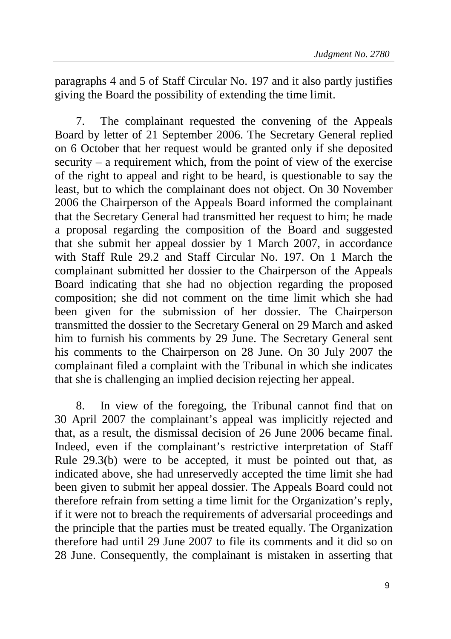paragraphs 4 and 5 of Staff Circular No. 197 and it also partly justifies giving the Board the possibility of extending the time limit.

7. The complainant requested the convening of the Appeals Board by letter of 21 September 2006. The Secretary General replied on 6 October that her request would be granted only if she deposited security – a requirement which, from the point of view of the exercise of the right to appeal and right to be heard, is questionable to say the least, but to which the complainant does not object. On 30 November 2006 the Chairperson of the Appeals Board informed the complainant that the Secretary General had transmitted her request to him; he made a proposal regarding the composition of the Board and suggested that she submit her appeal dossier by 1 March 2007, in accordance with Staff Rule 29.2 and Staff Circular No. 197. On 1 March the complainant submitted her dossier to the Chairperson of the Appeals Board indicating that she had no objection regarding the proposed composition; she did not comment on the time limit which she had been given for the submission of her dossier. The Chairperson transmitted the dossier to the Secretary General on 29 March and asked him to furnish his comments by 29 June. The Secretary General sent his comments to the Chairperson on 28 June. On 30 July 2007 the complainant filed a complaint with the Tribunal in which she indicates that she is challenging an implied decision rejecting her appeal.

8. In view of the foregoing, the Tribunal cannot find that on 30 April 2007 the complainant's appeal was implicitly rejected and that, as a result, the dismissal decision of 26 June 2006 became final. Indeed, even if the complainant's restrictive interpretation of Staff Rule 29.3(b) were to be accepted, it must be pointed out that, as indicated above, she had unreservedly accepted the time limit she had been given to submit her appeal dossier. The Appeals Board could not therefore refrain from setting a time limit for the Organization's reply, if it were not to breach the requirements of adversarial proceedings and the principle that the parties must be treated equally. The Organization therefore had until 29 June 2007 to file its comments and it did so on 28 June. Consequently, the complainant is mistaken in asserting that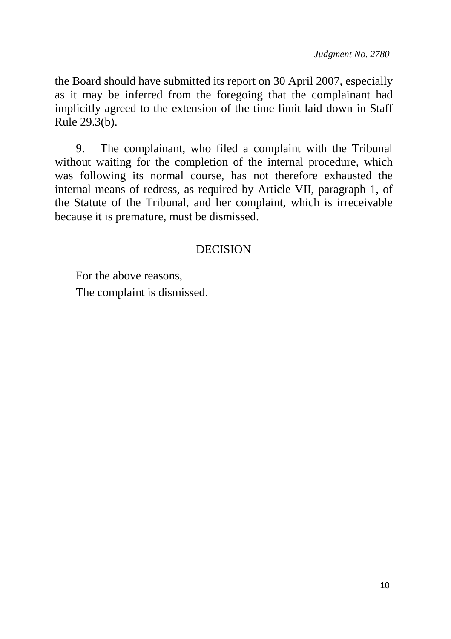the Board should have submitted its report on 30 April 2007, especially as it may be inferred from the foregoing that the complainant had implicitly agreed to the extension of the time limit laid down in Staff Rule 29.3(b).

9. The complainant, who filed a complaint with the Tribunal without waiting for the completion of the internal procedure, which was following its normal course, has not therefore exhausted the internal means of redress, as required by Article VII, paragraph 1, of the Statute of the Tribunal, and her complaint, which is irreceivable because it is premature, must be dismissed.

## DECISION

For the above reasons,

The complaint is dismissed.